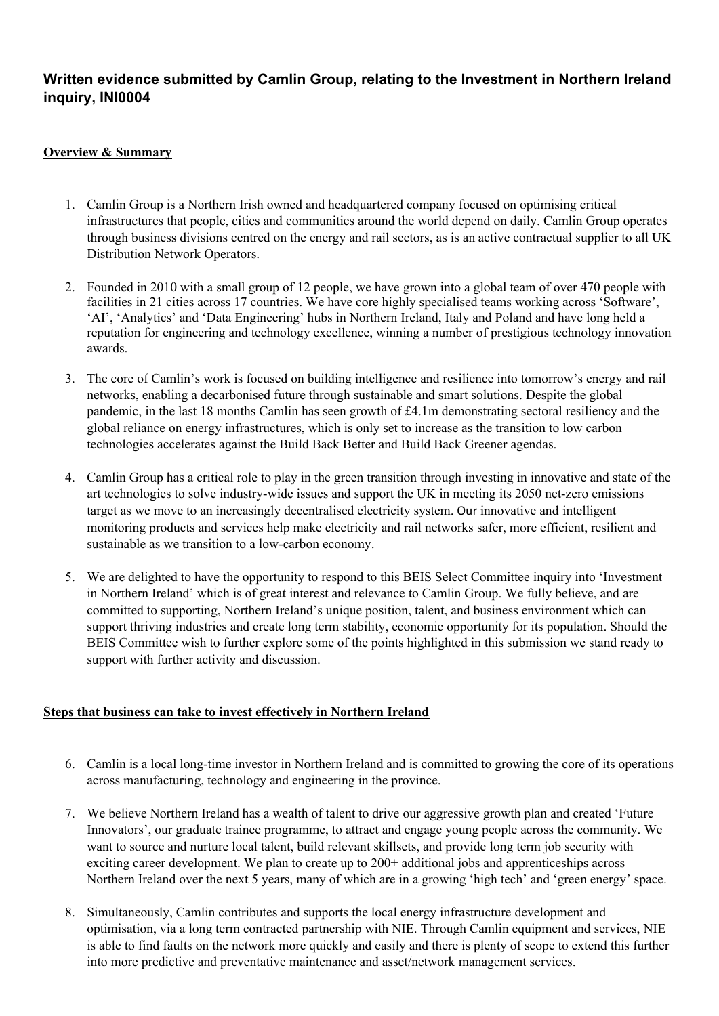## **Written evidence submitted by Camlin Group, relating to the Investment in Northern Ireland inquiry, INI0004**

## **Overview & Summary**

- 1. Camlin Group is a Northern Irish owned and headquartered company focused on optimising critical infrastructures that people, cities and communities around the world depend on daily. Camlin Group operates through business divisions centred on the energy and rail sectors, as is an active contractual supplier to all UK Distribution Network Operators.
- 2. Founded in 2010 with a small group of 12 people, we have grown into a global team of over 470 people with facilities in 21 cities across 17 countries. We have core highly specialised teams working across 'Software', 'AI', 'Analytics' and 'Data Engineering' hubs in Northern Ireland, Italy and Poland and have long held a reputation for engineering and technology excellence, winning a number of prestigious technology innovation awards.
- 3. The core of Camlin's work is focused on building intelligence and resilience into tomorrow's energy and rail networks, enabling a decarbonised future through sustainable and smart solutions. Despite the global pandemic, in the last 18 months Camlin has seen growth of £4.1m demonstrating sectoral resiliency and the global reliance on energy infrastructures, which is only set to increase as the transition to low carbon technologies accelerates against the Build Back Better and Build Back Greener agendas.
- 4. Camlin Group has a critical role to play in the green transition through investing in innovative and state of the art technologies to solve industry-wide issues and support the UK in meeting its 2050 net-zero emissions target as we move to an increasingly decentralised electricity system. Our innovative and intelligent monitoring products and services help make electricity and rail networks safer, more efficient, resilient and sustainable as we transition to a low-carbon economy.
- 5. We are delighted to have the opportunity to respond to this BEIS Select Committee inquiry into 'Investment in Northern Ireland' which is of great interest and relevance to Camlin Group. We fully believe, and are committed to supporting, Northern Ireland's unique position, talent, and business environment which can support thriving industries and create long term stability, economic opportunity for its population. Should the BEIS Committee wish to further explore some of the points highlighted in this submission we stand ready to support with further activity and discussion.

## **Steps that business can take to invest effectively in Northern Ireland**

- 6. Camlin is a local long-time investor in Northern Ireland and is committed to growing the core of its operations across manufacturing, technology and engineering in the province.
- 7. We believe Northern Ireland has a wealth of talent to drive our aggressive growth plan and created 'Future Innovators', our graduate trainee programme, to attract and engage young people across the community. We want to source and nurture local talent, build relevant skillsets, and provide long term job security with exciting career development. We plan to create up to 200+ additional jobs and apprenticeships across Northern Ireland over the next 5 years, many of which are in a growing 'high tech' and 'green energy' space.
- 8. Simultaneously, Camlin contributes and supports the local energy infrastructure development and optimisation, via a long term contracted partnership with NIE. Through Camlin equipment and services, NIE is able to find faults on the network more quickly and easily and there is plenty of scope to extend this further into more predictive and preventative maintenance and asset/network management services.